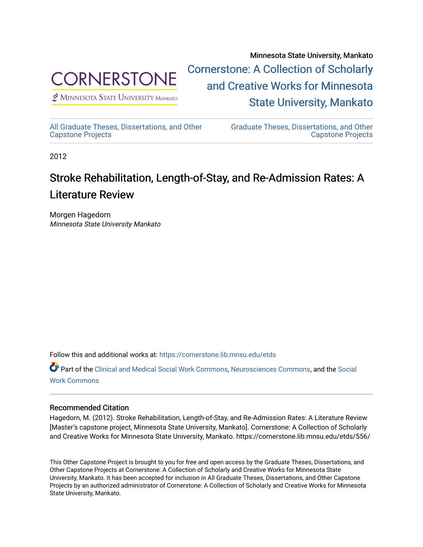

 $<sup>2</sup>$  Minnesota State University Mankato</sup>

Minnesota State University, Mankato [Cornerstone: A Collection of Scholarly](https://cornerstone.lib.mnsu.edu/)  [and Creative Works for Minnesota](https://cornerstone.lib.mnsu.edu/)  [State University, Mankato](https://cornerstone.lib.mnsu.edu/) 

[All Graduate Theses, Dissertations, and Other](https://cornerstone.lib.mnsu.edu/etds)  [Capstone Projects](https://cornerstone.lib.mnsu.edu/etds) 

[Graduate Theses, Dissertations, and Other](https://cornerstone.lib.mnsu.edu/theses_dissertations-capstone)  [Capstone Projects](https://cornerstone.lib.mnsu.edu/theses_dissertations-capstone) 

2012

#### Stroke Rehabilitation, Length-of-Stay, and Re-Admission Rates: A Literature Review

Morgen Hagedorn Minnesota State University Mankato

Follow this and additional works at: [https://cornerstone.lib.mnsu.edu/etds](https://cornerstone.lib.mnsu.edu/etds?utm_source=cornerstone.lib.mnsu.edu%2Fetds%2F556&utm_medium=PDF&utm_campaign=PDFCoverPages) 

Part of the [Clinical and Medical Social Work Commons,](http://network.bepress.com/hgg/discipline/712?utm_source=cornerstone.lib.mnsu.edu%2Fetds%2F556&utm_medium=PDF&utm_campaign=PDFCoverPages) [Neurosciences Commons](http://network.bepress.com/hgg/discipline/1010?utm_source=cornerstone.lib.mnsu.edu%2Fetds%2F556&utm_medium=PDF&utm_campaign=PDFCoverPages), and the [Social](http://network.bepress.com/hgg/discipline/713?utm_source=cornerstone.lib.mnsu.edu%2Fetds%2F556&utm_medium=PDF&utm_campaign=PDFCoverPages) [Work Commons](http://network.bepress.com/hgg/discipline/713?utm_source=cornerstone.lib.mnsu.edu%2Fetds%2F556&utm_medium=PDF&utm_campaign=PDFCoverPages)

#### Recommended Citation

Hagedorn, M. (2012). Stroke Rehabilitation, Length-of-Stay, and Re-Admission Rates: A Literature Review [Master's capstone project, Minnesota State University, Mankato]. Cornerstone: A Collection of Scholarly and Creative Works for Minnesota State University, Mankato. https://cornerstone.lib.mnsu.edu/etds/556/

This Other Capstone Project is brought to you for free and open access by the Graduate Theses, Dissertations, and Other Capstone Projects at Cornerstone: A Collection of Scholarly and Creative Works for Minnesota State University, Mankato. It has been accepted for inclusion in All Graduate Theses, Dissertations, and Other Capstone Projects by an authorized administrator of Cornerstone: A Collection of Scholarly and Creative Works for Minnesota State University, Mankato.